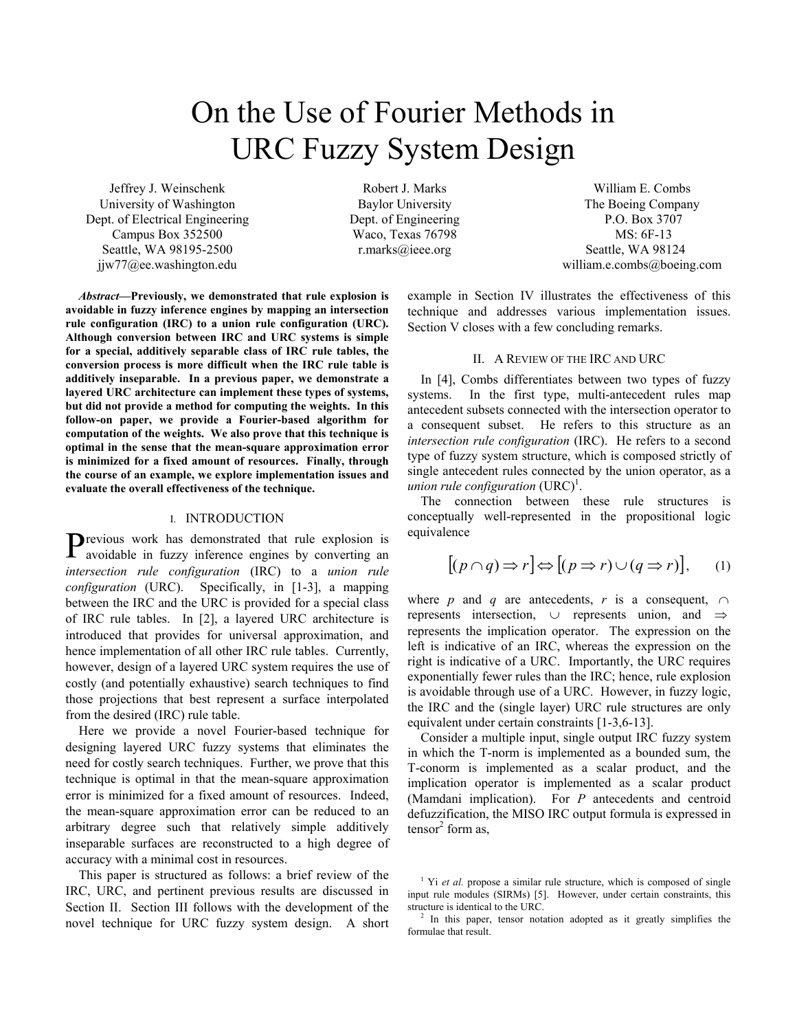# On the Use of Fourier Methods in URC Fuzzy System Design

Jeffrey J. Weinschenk University of Washington Dept. of Electrical Engineering Campus Box 352500 Seattle, WA 98195-2500 jjw77@ee.washington.edu

Robert J. Marks Baylor University Dept. of Engineering Waco, Texas 76798 r.marks@ieee.org

*Abstract***—Previously, we demonstrated that rule explosion is avoidable in fuzzy inference engines by mapping an intersection rule configuration (IRC) to a union rule configuration (URC). Although conversion between IRC and URC systems is simple for a special, additively separable class of IRC rule tables, the conversion process is more difficult when the IRC rule table is additively inseparable. In a previous paper, we demonstrate a layered URC architecture can implement these types of systems, but did not provide a method for computing the weights. In this follow-on paper, we provide a Fourier-based algorithm for computation of the weights. We also prove that this technique is optimal in the sense that the mean-square approximation error is minimized for a fixed amount of resources. Finally, through the course of an example, we explore implementation issues and evaluate the overall effectiveness of the technique.** 

## I. INTRODUCTION

revious work has demonstrated that rule explosion is Previous work has demonstrated that rule explosion is avoidable in fuzzy inference engines by converting an *intersection rule configuration* (IRC) to a *union rule configuration* (URC). Specifically, in [1-3], a mapping between the IRC and the URC is provided for a special class of IRC rule tables. In [2], a layered URC architecture is introduced that provides for universal approximation, and hence implementation of all other IRC rule tables. Currently, however, design of a layered URC system requires the use of costly (and potentially exhaustive) search techniques to find those projections that best represent a surface interpolated from the desired (IRC) rule table.

Here we provide a novel Fourier-based technique for designing layered URC fuzzy systems that eliminates the need for costly search techniques. Further, we prove that this technique is optimal in that the mean-square approximation error is minimized for a fixed amount of resources. Indeed, the mean-square approximation error can be reduced to an arbitrary degree such that relatively simple additively inseparable surfaces are reconstructed to a high degree of accuracy with a minimal cost in resources.

This paper is structured as follows: a brief review of the IRC, URC, and pertinent previous results are discussed in Section II. Section III follows with the development of the novel technique for URC fuzzy system design. A short

William E. Combs The Boeing Company P.O. Box 3707 MS: 6F-13 Seattle, WA 98124 william.e.combs@boeing.com

example in Section IV illustrates the effectiveness of this technique and addresses various implementation issues. Section V closes with a few concluding remarks.

# II. A REVIEW OF THE IRC AND URC

In [4], Combs differentiates between two types of fuzzy systems. In the first type, multi-antecedent rules map antecedent subsets connected with the intersection operator to a consequent subset. He refers to this structure as an *intersection rule configuration* (IRC). He refers to a second type of fuzzy system structure, which is composed strictly of single antecedent rules connected by the union operator, as a *union rule configuration*  $(URC)^{1}$ .

The connection between these rule structures is conceptually well-represented in the propositional logic equivalence

$$
[(p \cap q) \Rightarrow r] \Leftrightarrow [(p \Rightarrow r) \cup (q \Rightarrow r)], \quad (1)
$$

where *p* and *q* are antecedents, *r* is a consequent,  $\cap$ represents intersection, ∪ represents union, and ⇒ represents the implication operator. The expression on the left is indicative of an IRC, whereas the expression on the right is indicative of a URC. Importantly, the URC requires exponentially fewer rules than the IRC; hence, rule explosion is avoidable through use of a URC. However, in fuzzy logic, the IRC and the (single layer) URC rule structures are only equivalent under certain constraints [1-3,6-13].

 Consider a multiple input, single output IRC fuzzy system in which the T-norm is implemented as a bounded sum, the T-conorm is implemented as a scalar product, and the implication operator is implemented as a scalar product (Mamdani implication). For *P* antecedents and centroid defuzzification, the MISO IRC output formula is expressed in  $tensor<sup>2</sup>$  form as,

<sup>&</sup>lt;sup>1</sup> Yi *et al.* propose a similar rule structure, which is composed of single input rule modules (SIRMs) [5]. However, under certain constraints, this structure is identical to the URC.

 $2$  In this paper, tensor notation adopted as it greatly simplifies the formulae that result.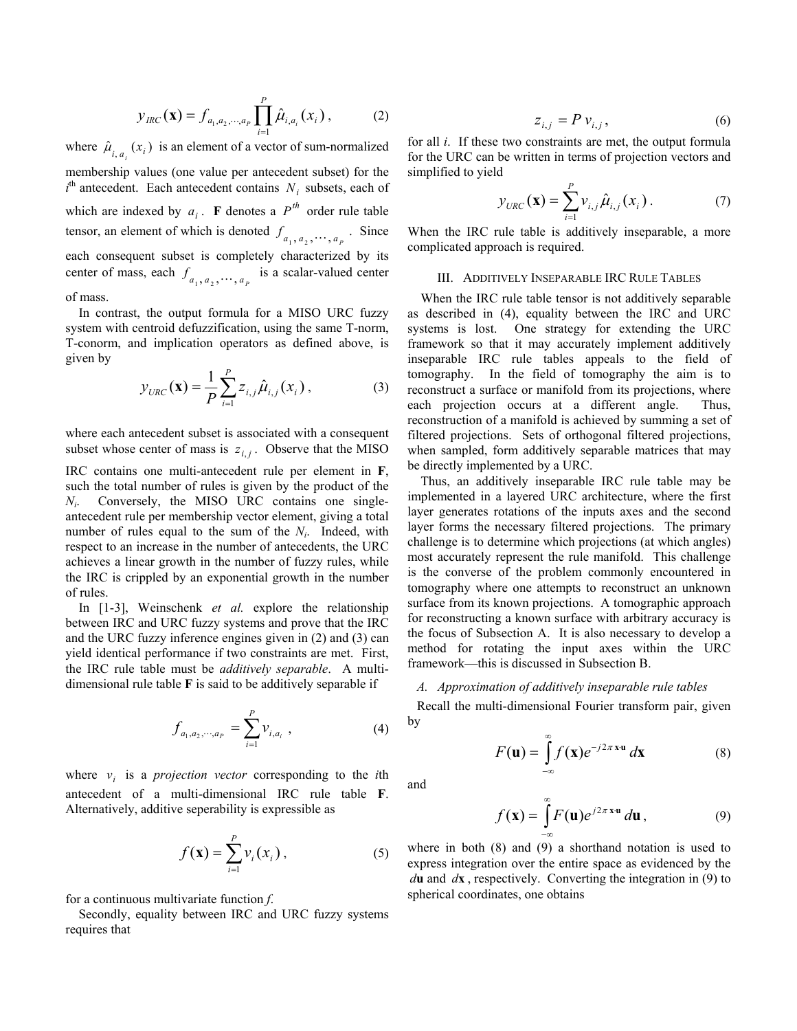$$
y_{\text{IRC}}(\mathbf{x}) = f_{a_1, a_2, \cdots, a_p} \prod_{i=1}^p \hat{\mu}_{i, a_i}(x_i), \qquad (2)
$$

where  $\hat{\mu}_{i, a_i}(x_i)$  is an element of a vector of sum-normalized membership values (one value per antecedent subset) for the  $i<sup>th</sup>$  antecedent. Each antecedent contains  $N_i$  subsets, each of which are indexed by  $a_i$ . **F** denotes a  $P^{th}$  order rule table tensor, an element of which is denoted  $f_{a_1, a_2, \dots, a_p}$ . Since each consequent subset is completely characterized by its center of mass, each  $f_{a_1, a_2, \dots, a_p}$  is a scalar-valued center

#### of mass.

In contrast, the output formula for a MISO URC fuzzy system with centroid defuzzification, using the same T-norm, T-conorm, and implication operators as defined above, is given by

$$
y_{URC}(\mathbf{x}) = \frac{1}{P} \sum_{i=1}^{P} z_{i,j} \hat{\mu}_{i,j}(x_i),
$$
 (3)

where each antecedent subset is associated with a consequent subset whose center of mass is  $z_{i,j}$ . Observe that the MISO IRC contains one multi-antecedent rule per element in **F**, such the total number of rules is given by the product of the *Ni*. Conversely, the MISO URC contains one singleantecedent rule per membership vector element, giving a total number of rules equal to the sum of the *Ni*. Indeed, with respect to an increase in the number of antecedents, the URC achieves a linear growth in the number of fuzzy rules, while the IRC is crippled by an exponential growth in the number of rules.

 In [1-3], Weinschenk *et al.* explore the relationship between IRC and URC fuzzy systems and prove that the IRC and the URC fuzzy inference engines given in (2) and (3) can yield identical performance if two constraints are met. First, the IRC rule table must be *additively separable*. A multidimensional rule table **F** is said to be additively separable if

$$
f_{a_1, a_2, \cdots, a_p} = \sum_{i=1}^{p} \nu_{i, a_i} \tag{4}
$$

where  $v_i$  is a *projection vector* corresponding to the *i*th antecedent of a multi-dimensional IRC rule table **F**. Alternatively, additive seperability is expressible as

$$
f(\mathbf{x}) = \sum_{i=1}^{P} v_i(x_i), \qquad (5)
$$

for a continuous multivariate function *f*.

 Secondly, equality between IRC and URC fuzzy systems requires that

$$
z_{i,j} = P v_{i,j},\tag{6}
$$

for all *i*. If these two constraints are met, the output formula for the URC can be written in terms of projection vectors and simplified to yield

$$
y_{URC}(\mathbf{x}) = \sum_{i=1}^{P} v_{i,j} \hat{\mu}_{i,j}(x_i).
$$
 (7)

When the IRC rule table is additively inseparable, a more complicated approach is required.

### III. ADDITIVELY INSEPARABLE IRC RULE TABLES

 When the IRC rule table tensor is not additively separable as described in (4), equality between the IRC and URC systems is lost. One strategy for extending the URC framework so that it may accurately implement additively inseparable IRC rule tables appeals to the field of tomography. In the field of tomography the aim is to reconstruct a surface or manifold from its projections, where each projection occurs at a different angle. Thus, reconstruction of a manifold is achieved by summing a set of filtered projections. Sets of orthogonal filtered projections, when sampled, form additively separable matrices that may be directly implemented by a URC.

 Thus, an additively inseparable IRC rule table may be implemented in a layered URC architecture, where the first layer generates rotations of the inputs axes and the second layer forms the necessary filtered projections. The primary challenge is to determine which projections (at which angles) most accurately represent the rule manifold. This challenge is the converse of the problem commonly encountered in tomography where one attempts to reconstruct an unknown surface from its known projections. A tomographic approach for reconstructing a known surface with arbitrary accuracy is the focus of Subsection A. It is also necessary to develop a method for rotating the input axes within the URC framework—this is discussed in Subsection B.

# *A. Approximation of additively inseparable rule tables*

Recall the multi-dimensional Fourier transform pair, given by

$$
F(\mathbf{u}) = \int_{-\infty}^{\infty} f(\mathbf{x}) e^{-j2\pi \mathbf{x} \cdot \mathbf{u}} d\mathbf{x}
$$
 (8)

and

$$
f(\mathbf{x}) = \int_{-\infty}^{\infty} F(\mathbf{u}) e^{j2\pi \mathbf{x} \cdot \mathbf{u}} d\mathbf{u},
$$
 (9)

where in both (8) and (9) a shorthand notation is used to express integration over the entire space as evidenced by the *d***u** and *d***x** , respectively. Converting the integration in (9) to spherical coordinates, one obtains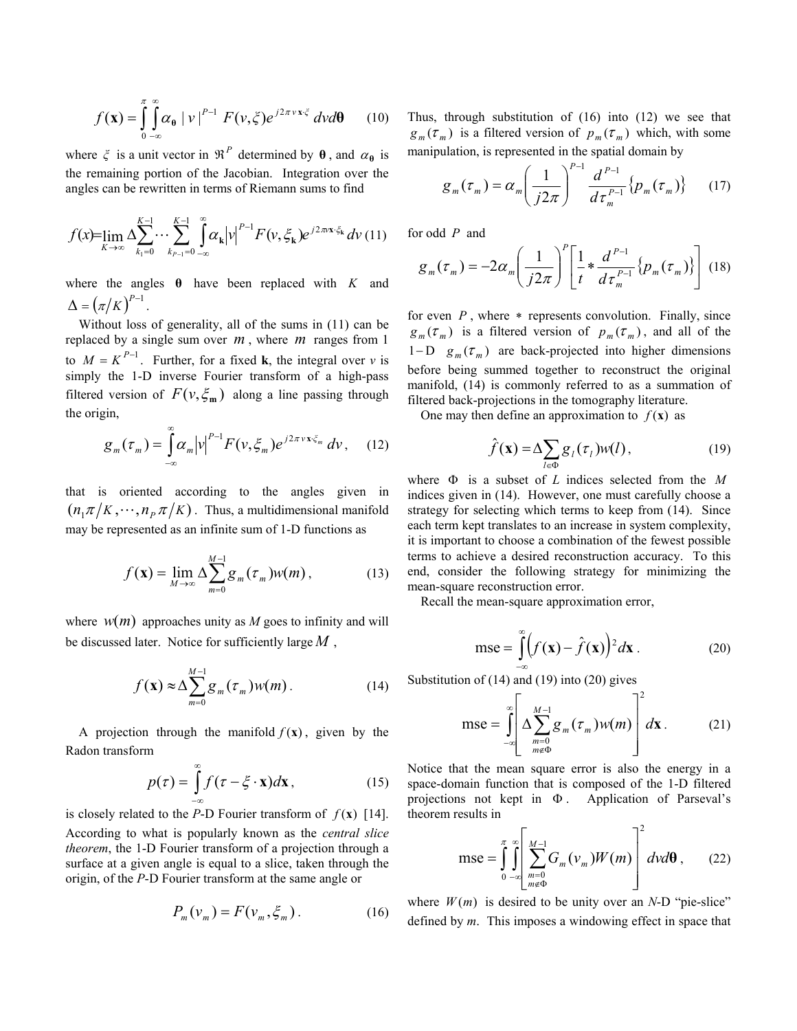$$
f(\mathbf{x}) = \int_{0}^{\pi} \int_{-\infty}^{\infty} \alpha_{\theta} |v|^{p-1} F(v, \zeta) e^{j2\pi v \mathbf{x} \cdot \zeta} dv d\theta \qquad (10)
$$

where  $\zeta$  is a unit vector in  $\mathcal{R}^P$  determined by  $\theta$ , and  $\alpha_{\theta}$  is the remaining portion of the Jacobian. Integration over the angles can be rewritten in terms of Riemann sums to find

$$
f(x) = \lim_{K \to \infty} \Delta \sum_{k_1=0}^{K-1} \cdots \sum_{k_{p-1}=0}^{K-1} \int_{-\infty}^{\infty} \alpha_k |v|^{p-1} F(v, \xi_k) e^{j2\pi x \cdot \xi_k} dv
$$
 (11)

where the angles **θ** have been replaced with *K* and  $\Delta = (\pi/K)^{P-1}$ .

Without loss of generality, all of the sums in (11) can be replaced by a single sum over *m* , where *m* ranges from 1 to  $M = K^{P-1}$ . Further, for a fixed **k**, the integral over *v* is simply the 1-D inverse Fourier transform of a high-pass filtered version of  $F(v, \xi_m)$  along a line passing through the origin,

$$
g_m(\tau_m) = \int_{-\infty}^{\infty} \alpha_m |v|^{P-1} F(v, \xi_m) e^{j2\pi v x \cdot \xi_m} dv, \quad (12)
$$

that is oriented according to the angles given in  $(n_1 \pi / K, \cdots, n_p \pi / K)$ . Thus, a multidimensional manifold may be represented as an infinite sum of 1-D functions as

$$
f(\mathbf{x}) = \lim_{M \to \infty} \Delta \sum_{m=0}^{M-1} g_m(\tau_m) w(m), \qquad (13)
$$

where  $w(m)$  approaches unity as *M* goes to infinity and will be discussed later. Notice for sufficiently large *M* ,

$$
f(\mathbf{x}) \approx \Delta \sum_{m=0}^{M-1} g_m(\tau_m) w(m). \tag{14}
$$

A projection through the manifold  $f(x)$ , given by the Radon transform

$$
p(\tau) = \int_{-\infty}^{\infty} f(\tau - \xi \cdot \mathbf{x}) d\mathbf{x},
$$
 (15)

is closely related to the *P*-D Fourier transform of  $f(\mathbf{x})$  [14]. According to what is popularly known as the *central slice theorem*, the 1-D Fourier transform of a projection through a surface at a given angle is equal to a slice, taken through the origin, of the *P*-D Fourier transform at the same angle or

$$
P_m(\mathbf{v}_m) = F(\mathbf{v}_m, \xi_m). \tag{16}
$$

Thus, through substitution of (16) into (12) we see that  $g_m(\tau_m)$  is a filtered version of  $p_m(\tau_m)$  which, with some manipulation, is represented in the spatial domain by

$$
g_m(\tau_m) = \alpha_m \left(\frac{1}{j2\pi}\right)^{P-1} \frac{d^{P-1}}{d\tau_m^{P-1}} \{p_m(\tau_m)\} \qquad (17)
$$

for odd *P* and

$$
g_m(\tau_m) = -2\alpha_m \left(\frac{1}{j2\pi}\right)^p \left[\frac{1}{t} * \frac{d^{P-1}}{d\tau_m^{P-1}}\left\{p_m(\tau_m)\right\}\right] \tag{18}
$$

for even *P*, where \* represents convolution. Finally, since  $g_m(\tau_m)$  is a filtered version of  $p_m(\tau_m)$ , and all of the 1−D  $g_m(\tau_m)$  are back-projected into higher dimensions before being summed together to reconstruct the original manifold, (14) is commonly referred to as a summation of filtered back-projections in the tomography literature.

One may then define an approximation to  $f(\mathbf{x})$  as

$$
\hat{f}(\mathbf{x}) = \Delta \sum_{l \in \Phi} g_l(\tau_l) w(l), \qquad (19)
$$

where Φ is a subset of *L* indices selected from the *M* indices given in (14). However, one must carefully choose a strategy for selecting which terms to keep from (14). Since each term kept translates to an increase in system complexity, it is important to choose a combination of the fewest possible terms to achieve a desired reconstruction accuracy. To this end, consider the following strategy for minimizing the mean-square reconstruction error.

Recall the mean-square approximation error,

$$
mse = \int_{-\infty}^{\infty} \left( f(\mathbf{x}) - \hat{f}(\mathbf{x}) \right)^2 d\mathbf{x} \,. \tag{20}
$$

Substitution of (14) and (19) into (20) gives

$$
mse = \int_{-\infty}^{\infty} \left[ \Delta \sum_{\substack{m=0 \ m \neq \Phi}}^{M-1} g_m(\tau_m) w(m) \right]^2 d\mathbf{x}.
$$
 (21)

Notice that the mean square error is also the energy in a space-domain function that is composed of the 1-D filtered projections not kept in  $\Phi$ . Application of Parseval's theorem results in

$$
mse = \int_{0}^{\pi} \int_{-\infty}^{\infty} \left[ \sum_{\substack{m=0 \ m \neq 0}}^{M-1} G_m(\nu_m) W(m) \right]^2 d\nu d\theta , \qquad (22)
$$

where  $W(m)$  is desired to be unity over an *N*-D "pie-slice" defined by *m*. This imposes a windowing effect in space that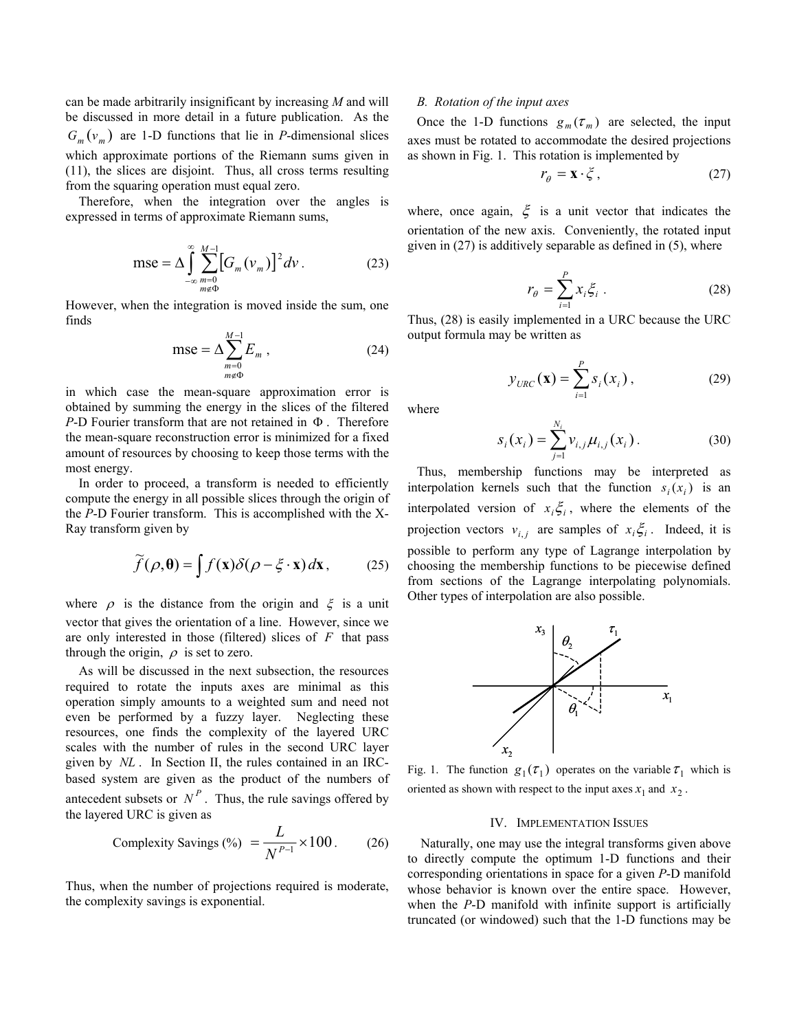can be made arbitrarily insignificant by increasing *M* and will be discussed in more detail in a future publication. As the  $G_m(v_m)$  are 1-D functions that lie in *P*-dimensional slices which approximate portions of the Riemann sums given in (11), the slices are disjoint. Thus, all cross terms resulting from the squaring operation must equal zero.

Therefore, when the integration over the angles is expressed in terms of approximate Riemann sums,

$$
mse = \Delta \int_{-\infty}^{\infty} \sum_{\substack{m=0 \ m \neq \Phi}}^{M-1} \left[ G_m(v_m) \right]^2 dv \,. \tag{23}
$$

However, when the integration is moved inside the sum, one finds

$$
mse = \Delta \sum_{\substack{m=0 \ m \neq \Phi}}^{M-1} E_m , \qquad (24)
$$

in which case the mean-square approximation error is obtained by summing the energy in the slices of the filtered *P*-D Fourier transform that are not retained in Φ . Therefore the mean-square reconstruction error is minimized for a fixed amount of resources by choosing to keep those terms with the most energy.

 In order to proceed, a transform is needed to efficiently compute the energy in all possible slices through the origin of the *P*-D Fourier transform. This is accomplished with the X-Ray transform given by

$$
\widetilde{f}(\rho,\boldsymbol{\theta}) = \int f(\mathbf{x}) \delta(\rho - \xi \cdot \mathbf{x}) d\mathbf{x}, \qquad (25)
$$

where  $\rho$  is the distance from the origin and  $\xi$  is a unit vector that gives the orientation of a line. However, since we are only interested in those (filtered) slices of *F* that pass through the origin,  $\rho$  is set to zero.

 As will be discussed in the next subsection, the resources required to rotate the inputs axes are minimal as this operation simply amounts to a weighted sum and need not even be performed by a fuzzy layer. Neglecting these resources, one finds the complexity of the layered URC scales with the number of rules in the second URC layer given by *NL* . In Section II, the rules contained in an IRCbased system are given as the product of the numbers of antecedent subsets or  $N<sup>P</sup>$ . Thus, the rule savings offered by the layered URC is given as

Complexity Savings (%) 
$$
=\frac{L}{N^{P-1}} \times 100
$$
. (26)

Thus, when the number of projections required is moderate, the complexity savings is exponential.

#### *B. Rotation of the input axes*

Once the 1-D functions  $g_m(\tau_m)$  are selected, the input axes must be rotated to accommodate the desired projections as shown in Fig. 1. This rotation is implemented by

$$
r_{\theta} = \mathbf{x} \cdot \boldsymbol{\xi} \,,\tag{27}
$$

where, once again,  $\xi$  is a unit vector that indicates the orientation of the new axis. Conveniently, the rotated input given in  $(27)$  is additively separable as defined in  $(5)$ , where

$$
r_{\theta} = \sum_{i=1}^{P} x_i \xi_i \tag{28}
$$

Thus, (28) is easily implemented in a URC because the URC output formula may be written as

$$
y_{URC}(\mathbf{x}) = \sum_{i=1}^{P} s_i(x_i),
$$
 (29)

where

$$
s_i(x_i) = \sum_{j=1}^{N_i} v_{i,j} \mu_{i,j}(x_i).
$$
 (30)

Thus, membership functions may be interpreted as interpolation kernels such that the function  $s_i(x_i)$  is an interpolated version of  $x_i \xi_i$ , where the elements of the projection vectors  $v_{i,i}$  are samples of  $x_i \xi_i$ . Indeed, it is possible to perform any type of Lagrange interpolation by choosing the membership functions to be piecewise defined from sections of the Lagrange interpolating polynomials. Other types of interpolation are also possible.



Fig. 1. The function  $g_1(\tau_1)$  operates on the variable  $\tau_1$  which is oriented as shown with respect to the input axes  $x_1$  and  $x_2$ .

### IV. IMPLEMENTATION ISSUES

Naturally, one may use the integral transforms given above to directly compute the optimum 1-D functions and their corresponding orientations in space for a given *P*-D manifold whose behavior is known over the entire space. However, when the *P*-D manifold with infinite support is artificially truncated (or windowed) such that the 1-D functions may be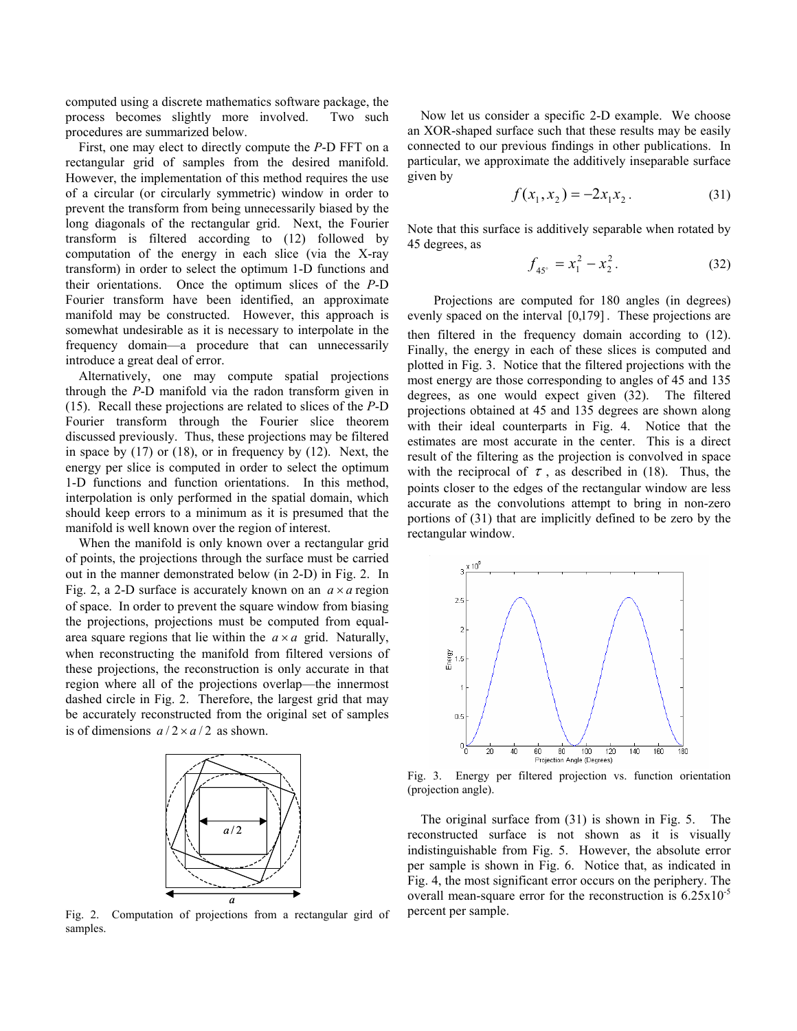computed using a discrete mathematics software package, the process becomes slightly more involved. Two such procedures are summarized below.

First, one may elect to directly compute the *P*-D FFT on a rectangular grid of samples from the desired manifold. However, the implementation of this method requires the use of a circular (or circularly symmetric) window in order to prevent the transform from being unnecessarily biased by the long diagonals of the rectangular grid. Next, the Fourier transform is filtered according to (12) followed by computation of the energy in each slice (via the X-ray transform) in order to select the optimum 1-D functions and their orientations. Once the optimum slices of the *P*-D Fourier transform have been identified, an approximate manifold may be constructed. However, this approach is somewhat undesirable as it is necessary to interpolate in the frequency domain—a procedure that can unnecessarily introduce a great deal of error.

Alternatively, one may compute spatial projections through the *P*-D manifold via the radon transform given in (15). Recall these projections are related to slices of the *P*-D Fourier transform through the Fourier slice theorem discussed previously. Thus, these projections may be filtered in space by  $(17)$  or  $(18)$ , or in frequency by  $(12)$ . Next, the energy per slice is computed in order to select the optimum 1-D functions and function orientations. In this method, interpolation is only performed in the spatial domain, which should keep errors to a minimum as it is presumed that the manifold is well known over the region of interest.

When the manifold is only known over a rectangular grid of points, the projections through the surface must be carried out in the manner demonstrated below (in 2-D) in Fig. 2. In Fig. 2, a 2-D surface is accurately known on an  $a \times a$  region of space. In order to prevent the square window from biasing the projections, projections must be computed from equalarea square regions that lie within the  $a \times a$  grid. Naturally, when reconstructing the manifold from filtered versions of these projections, the reconstruction is only accurate in that region where all of the projections overlap—the innermost dashed circle in Fig. 2. Therefore, the largest grid that may be accurately reconstructed from the original set of samples is of dimensions  $a/2 \times a/2$  as shown.



Fig. 2. Computation of projections from a rectangular gird of samples.

Now let us consider a specific 2-D example. We choose an XOR-shaped surface such that these results may be easily connected to our previous findings in other publications. In particular, we approximate the additively inseparable surface given by

$$
f(x_1, x_2) = -2x_1x_2.
$$
 (31)

Note that this surface is additively separable when rotated by 45 degrees, as

$$
f_{45^\circ} = x_1^2 - x_2^2. \tag{32}
$$

 Projections are computed for 180 angles (in degrees) evenly spaced on the interval [0,179] . These projections are then filtered in the frequency domain according to (12). Finally, the energy in each of these slices is computed and plotted in Fig. 3. Notice that the filtered projections with the most energy are those corresponding to angles of 45 and 135 degrees, as one would expect given (32). The filtered projections obtained at 45 and 135 degrees are shown along with their ideal counterparts in Fig. 4. Notice that the estimates are most accurate in the center. This is a direct result of the filtering as the projection is convolved in space with the reciprocal of  $\tau$ , as described in (18). Thus, the points closer to the edges of the rectangular window are less accurate as the convolutions attempt to bring in non-zero portions of (31) that are implicitly defined to be zero by the rectangular window.



Fig. 3. Energy per filtered projection vs. function orientation (projection angle).

 The original surface from (31) is shown in Fig. 5. The reconstructed surface is not shown as it is visually indistinguishable from Fig. 5. However, the absolute error per sample is shown in Fig. 6. Notice that, as indicated in Fig. 4, the most significant error occurs on the periphery. The overall mean-square error for the reconstruction is  $6.25 \times 10^{-5}$ percent per sample.